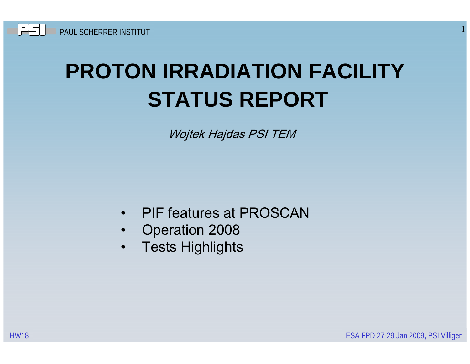# **PROTON IRRADIATION FACILITYSTATUS REPORT**

Wojtek Hajdas PSI TEM

- $\bullet$ • PIF features at PROSCAN
- $\bullet$ Operation 2008
- $\bullet$ Tests Highlights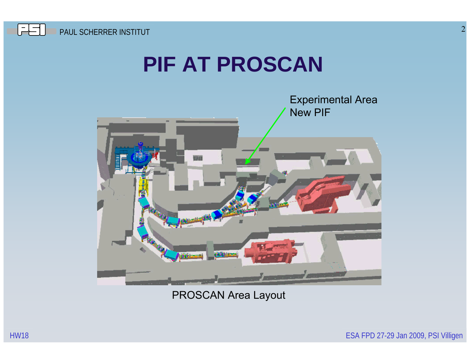

#### **PIF AT PROSCAN**



PROSCAN Area Layout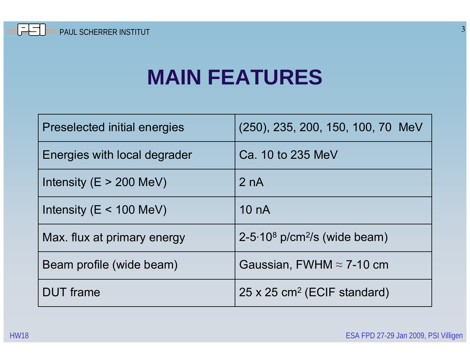

#### **MAIN FEATURES**

| <b>Preselected initial energies</b> | (250), 235, 200, 150, 100, 70 MeV          |
|-------------------------------------|--------------------------------------------|
| Energies with local degrader        | Ca. 10 to 235 MeV                          |
| Intensity ( $E > 200$ MeV)          | 2 nA                                       |
| Intensity ( $E < 100$ MeV)          | 10 <sub>n</sub> A                          |
| Max. flux at primary energy         | $2-5.108$ p/cm <sup>2</sup> /s (wide beam) |
| Beam profile (wide beam)            | Gaussian, FWHM $\approx$ 7-10 cm           |
| <b>DUT</b> frame                    | 25 x 25 cm <sup>2</sup> (ECIF standard)    |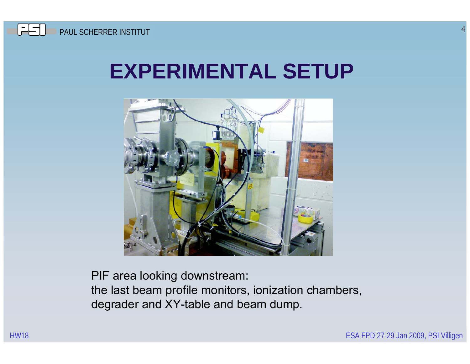### **EXPERIMENTAL SETUP**



PIF area looking downstream: the last beam profile monitors, ionization chambers, degrader and XY-table and beam dump.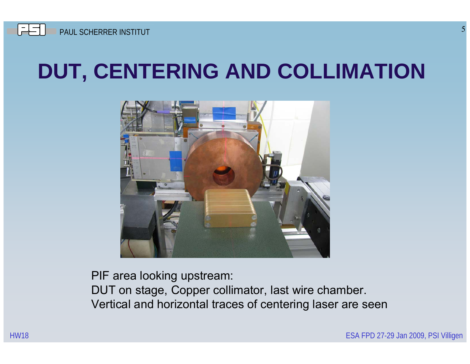## **DUT, CENTERING AND COLLIMATION**



PIF area looking upstream: DUT on stage, Copper collimator, last wire chamber. Vertical and horizontal traces of centering laser are seen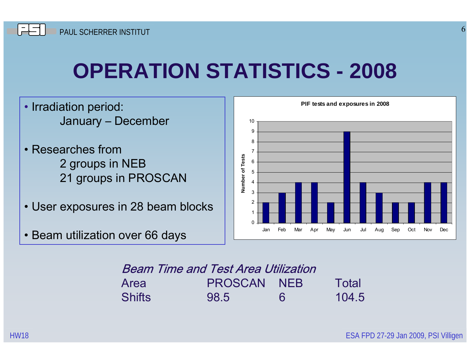## **OPERATION STATISTICS - 2008**

- Irradiation period: January – December
- Researches from 2 groups in NEB 21 groups in PROSCAN
- User exposures in 28 beam blocks
- Beam utilization over 66 days



| <b>Beam Time and Test Area Utilization</b> |                    |   |       |  |  |  |
|--------------------------------------------|--------------------|---|-------|--|--|--|
| Area                                       | <b>PROSCAN NEB</b> |   | Total |  |  |  |
| <b>Shifts</b>                              | 98.5               | 6 | 104.5 |  |  |  |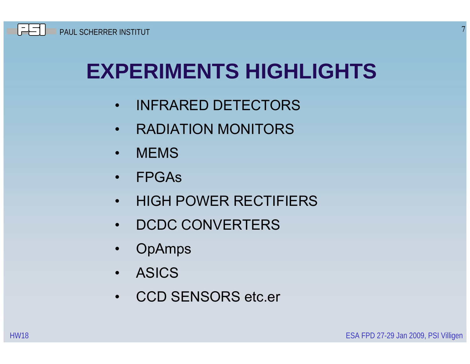## **EXPERIMENTS HIGHLIGHTS**

- •INFRARED DETECTORS
- $\bullet$ RADIATION MONITORS
- $\bullet$ **MEMS**
- $\bullet$ FPGAs
- $\bullet$ HIGH POWER RECTIFIERS
- $\bullet$ • DCDC CONVERTERS
- $\bullet$ **OpAmps**
- $\bullet$ ASICS
- •CCD SENSORS etc.er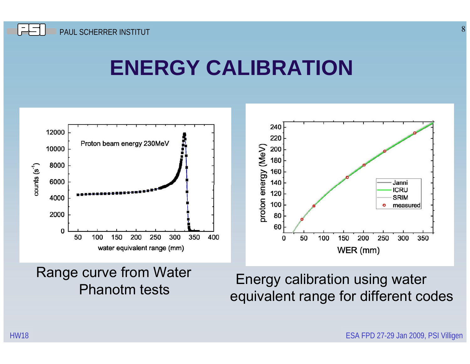#### **ENERGY CALIBRATION**



Range curve from Water **Phanotm tests** 

Energy calibration using water<br>equivalent range for different codes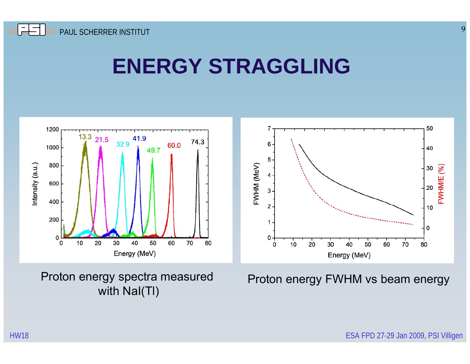#### **ENERGY STRAGGLING**



Proton energy spectra measured with NaI(TI)

Proton energy FWHM vs beam energy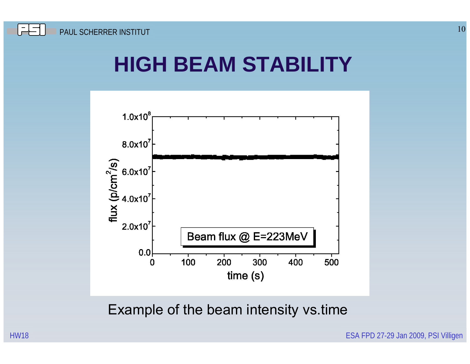## **HIGH BEAM STABILITY**



Example of the beam intensity vs.time

HW18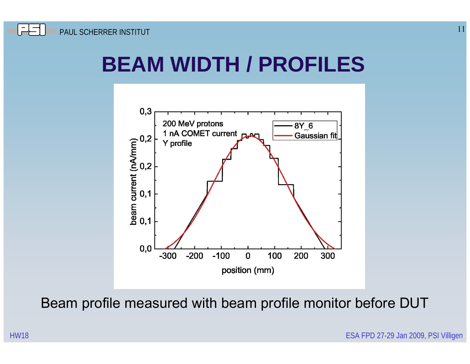## **BEAM WIDTH / PROFILES**



Beam profile measured with beam profile monitor before DUT

ESA FPD 27-29 Jan 2009, PSI Villigen

11

HW18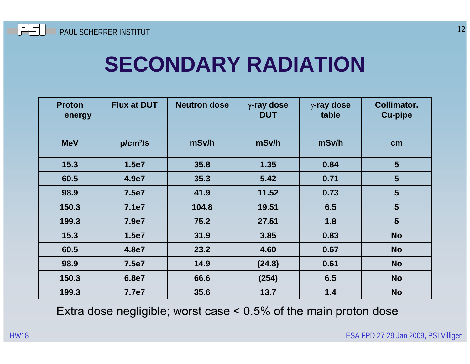

#### **SECONDARY RADIATION**

| <b>Proton</b><br>energy | <b>Flux at DUT</b>   | <b>Neutron dose</b> | $\gamma$ -ray dose<br><b>DUT</b> | $\gamma$ -ray dose<br>table | <b>Collimator.</b><br><b>Cu-pipe</b> |
|-------------------------|----------------------|---------------------|----------------------------------|-----------------------------|--------------------------------------|
| <b>MeV</b>              | p/cm <sup>2</sup> /s | mSv/h               | mSv/h                            | mSv/h                       | cm                                   |
| 15.3                    | 1.5e7                | 35.8                | 1.35                             | 0.84                        | $5\phantom{1}$                       |
| 60.5                    | 4.9e7                | 35.3                | 5.42                             | 0.71                        | 5                                    |
| 98.9                    | 7.5e7                | 41.9                | 11.52                            | 0.73                        | 5                                    |
| 150.3                   | 7.1e7                | 104.8               | 19.51                            | 6.5                         | 5                                    |
| 199.3                   | 7.9e7                | 75.2                | 27.51                            | 1.8                         | 5                                    |
| 15.3                    | 1.5e7                | 31.9                | 3.85                             | 0.83                        | <b>No</b>                            |
| 60.5                    | 4.8e7                | 23.2                | 4.60                             | 0.67                        | <b>No</b>                            |
| 98.9                    | 7.5e7                | 14.9                | (24.8)                           | 0.61                        | <b>No</b>                            |
| 150.3                   | 6.8e7                | 66.6                | (254)                            | 6.5                         | <b>No</b>                            |
| 199.3                   | 7.7e7                | 35.6                | 13.7                             | 1.4                         | <b>No</b>                            |

Extra dose negligible; worst case < 0.5% of the main proton dose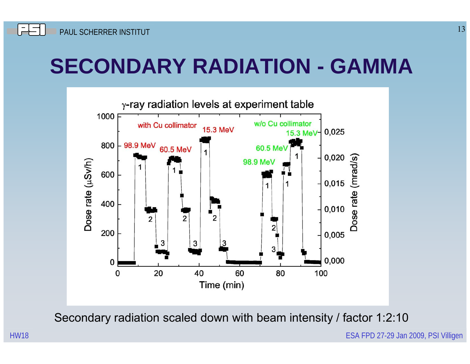## **SECONDARY RADIATION - GAMMA**



Secondary radiation scaled down with beam intensity / factor 1:2:10

ESA FPD 27-29 Jan 2009, PSI Villigen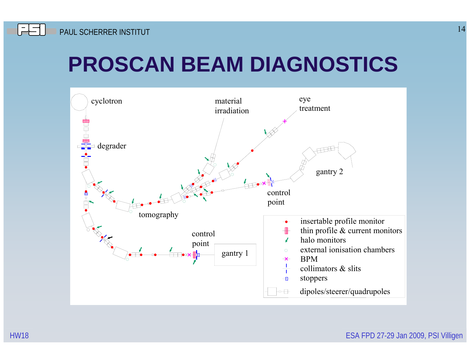## **PROSCAN BEAM DIAGNOSTICS**